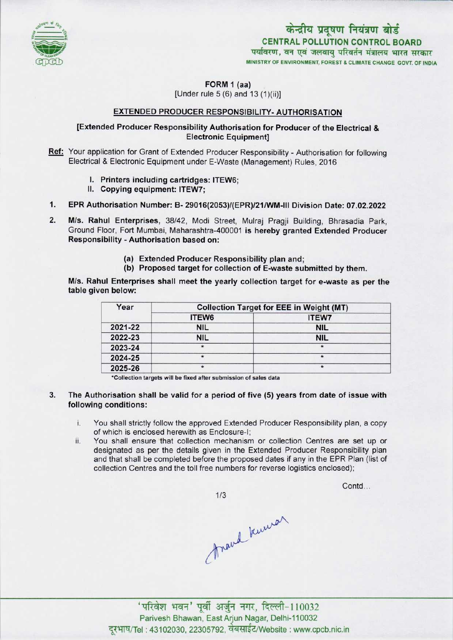

केन्द्रीय प्रदूषण नियंत्रण बोर्ड CENTRAL POLLUTION CONTROL BOARD विरण*,* वन एवं MINISTRY OF ENVIRONMENT, FOREST & CLIMATE CHANGE GOVT. OF INDIA

Contd...

FORM 1 (aa)

[Under rule 5 (6) and 13(1)(ii)]

## EXTENDED PRODUCER RESPONSIBILITY- AUTHORISATION

## [Extended Producer Responsibility Authorisation for Producer of the Electrical & Electronic Equipment]

Ref: Your application for Grant of Extended Producer Responsibility - Authorisation for following Electrical & Electronic Equipment under E-Waste (Management) Rules, 2016

- I. Printers including cartridges: ITEW6;
- II.Copying equipment: ITEW7;
- 1. Copying equipment: ITEW7;<br>1. EPR Authorisation Number: B- 29016(2053)/(EPR)/21/WM-III Division Date: 07.02.2022
- 2. EPR Authorisation Number: B- 29016(2053)/(EPR)/21/WM-III Division Date: 07.02.2022<br>2. M/s. Rahul Enterprises, 38/42, Modi Street, Mulraj Pragji Building, Bhrasadia Park<br>Ground Eloor, Eort Mumbei, Mabarashtra 400001 is b M/s. Rahul Enterprises, 38/42, Modi Street, Mulraj Pragji Building, Bhrasadia Park, Ground Floor, Fort Mumbai, Maharashtra-400001 is hereby granted Extended Producer Responsibility - Authorisation based on:
	- (a)Extended Producer Responsibility plan and;
	- (b) Proposed target for collection of E-waste submitted by them.

M/s. Rahul Enterprises shall meet the yearly collection target for e-waste as per the table given below:

| Year    | <b>Collection Target for EEE in Weight (MT)</b> |              |
|---------|-------------------------------------------------|--------------|
|         | ITEW6                                           | <b>ITEW7</b> |
| 2021-22 | <b>NIL</b>                                      | <b>NIL</b>   |
| 2022-23 | <b>NIL</b>                                      | <b>NIL</b>   |
| 2023-24 | $\star$                                         | $\star$      |
| 2024-25 | $\star$                                         | $\star$      |
| 2025-26 | $\star$                                         | $\star$      |

\*Collection targets will be fixed after submission of sales data

- 3. The Authorisation shall be valid for a period of five (5) years from date of issue with following conditions:
	- i. You shall strictly follow the approved Extended Producer Responsibility plan, <sup>a</sup> copy of which is enclosed herewith as Enclosure-I;
	- ii. You shall ensure that collection mechanism or collection Centres are set up or designated as per the details given in the Extended Producer Responsibility plan and that shall be completed before the proposed dates if any in the EPR Plan (list of collection Centres and the toll free numbers for reverse logistics enclosed);

 $1/3$ 

frand knuwar

' परिवेश भवन' पूर्वी अर्जुन नगर, दिल्ली-110032 Parivesh Bhawan, EastArjun Nagar, Delhi-110032 दूरभाष/Tel : 43102030, 22305792, वेबसाईट/Website : www.cpcb.nic.in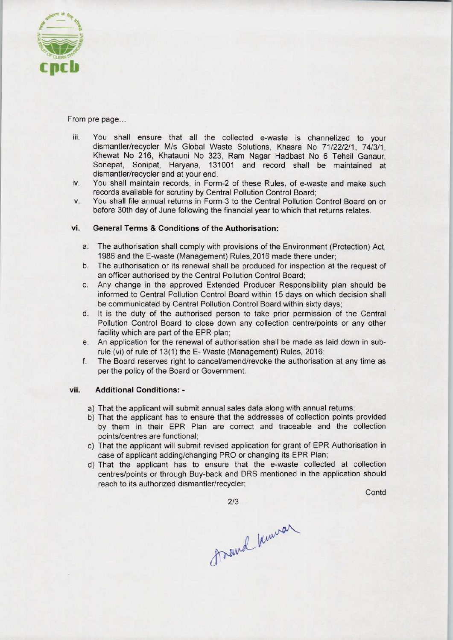

From pre page...

- iii. You shall ensure that all the collected e-waste is channelized to your dismantler/recycler M/s Global Waste Solutions, Khasra No 71/22/2/1, 74/3/1, Khewat No 216, Khatauni No 323, Ram Nagar Hadbast No 6 Tehsil Ganaur, Sonepat, Sonipat, Haryana, <sup>131001</sup> and record shall be maintained at dismantler/recycler and at your end.
- iv. You shall maintain records, in Form-2 of these Rules, of e-waste and make such records available for scrutiny by Central Pollution Control Board;
- v. You shall file annual returns in Form-3 to the Central Pollution Control Board on or before 30th day of June following the financial year to which that returns relates.

## vi. General Terms & Conditions of the Authorisation:

- a.The authorisation shall comply with provisions of the Environment (Protection) Act, 1986 and the E-waste (Management) Rules,2016 made there under;
- b. The authorisation or its renewal shall be produced for inspection at the request of an officer authorised by the Central Pollution Control Board;
- c.Any change in the approved Extended Producer Responsibility plan should be informed to Central Pollution Control Board within 15 days on which decision shall be communicated by Central Pollution Control Board within sixty days;
- d. It is the duty of the authorised person to take prior permission of the Central Pollution Control Board to close down any collection centre/points or any other facility which are part of the EPR plan;
- e.An application for the renewal of authorisation shall be made as laid down in subrule (vi) of rule of 13(1) the E- Waste (Management) Rules, 2016;
- f. The Board reserves right to cancel/amend/revoke the authorisation at any time as per the policy of the Board or Government.

## vii. Additional Conditions: -

- a) That the applicant will submit annual sales data along with annual returns;
- b) That the applicant has to ensure that the addresses of collection points provided by them in their EPR Plan are correct and traceable and the collection points/centres are functional;
- c) That the applicant will submit revised application for grant of EPR Authorisation in case of applicant adding/changing PRO or changing its EPR Plan;
- d)That the applicant has to ensure that the e-waste collected at collection centres/points or through Buy-back and DRS mentioned in the application should reach to its authorized dismantler/recycler;

**Contd** 

2/3

frand knowar